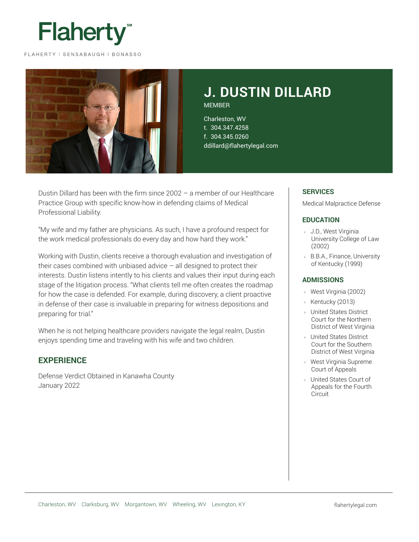

FLAHERTY | SENSABAUGH | BONASSO



# **J. DUSTIN DILLARD** MEMBER

Charleston, WV t. 304.347.4258 f. 304.345.0260 ddillard@flahertylegal.com

Dustin Dillard has been with the firm since 2002 – a member of our Healthcare Practice Group with specific know-how in defending claims of Medical Professional Liability.

"My wife and my father are physicians. As such, I have a profound respect for the work medical professionals do every day and how hard they work."

Working with Dustin, clients receive a thorough evaluation and investigation of their cases combined with unbiased advice  $-$  all designed to protect their interests. Dustin listens intently to his clients and values their input during each stage of the litigation process. "What clients tell me often creates the roadmap for how the case is defended. For example, during discovery, a client proactive in defense of their case is invaluable in preparing for witness depositions and preparing for trial."

When he is not helping healthcare providers navigate the legal realm, Dustin enjoys spending time and traveling with his wife and two children.

# **EXPERIENCE**

Defense Verdict Obtained in Kanawha County January 2022

# **SERVICES**

Medical Malpractice Defense

## **EDUCATION**

- J.D., West Virginia University College of Law (2002)
- B.B.A., Finance, University of Kentucky (1999)

#### **ADMISSIONS**

- West Virginia (2002)
- Kentucky (2013)
- United States District Court for the Northern District of West Virginia
- **United States District** Court for the Southern District of West Virginia
- West Virginia Supreme Court of Appeals
- United States Court of Appeals for the Fourth Circuit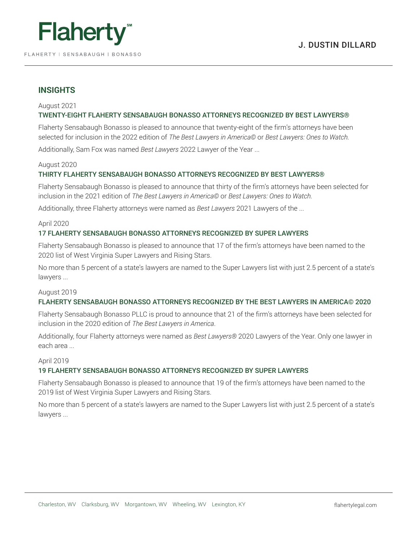

# **INSIGHTS**

### August 2021

# TWENTY-EIGHT FLAHERTY SENSABAUGH BONASSO ATTORNEYS RECOGNIZED BY BEST LAWYERS®

Flaherty Sensabaugh Bonasso is pleased to announce that twenty-eight of the firm's attorneys have been selected for inclusion in the 2022 edition of *The Best Lawyers in America©* or *Best Lawyers: Ones to Watch.*

Additionally, Sam Fox was named *Best Lawyers* 2022 Lawyer of the Year ...

## August 2020

# THIRTY FLAHERTY SENSABAUGH BONASSO ATTORNEYS RECOGNIZED BY BEST LAWYERS®

Flaherty Sensabaugh Bonasso is pleased to announce that thirty of the firm's attorneys have been selected for inclusion in the 2021 edition of *The Best Lawyers in America©* or *Best Lawyers: Ones to Watch.*

Additionally, three Flaherty attorneys were named as *Best Lawyers* 2021 Lawyers of the ...

#### April 2020

# 17 FLAHERTY SENSABAUGH BONASSO ATTORNEYS RECOGNIZED BY SUPER LAWYERS

Flaherty Sensabaugh Bonasso is pleased to announce that 17 of the firm's attorneys have been named to the 2020 list of West Virginia Super Lawyers and Rising Stars.

No more than 5 percent of a state's lawyers are named to the Super Lawyers list with just 2.5 percent of a state's lawyers ...

#### August 2019

#### FLAHERTY SENSABAUGH BONASSO ATTORNEYS RECOGNIZED BY THE BEST LAWYERS IN AMERICA© 2020

Flaherty Sensabaugh Bonasso PLLC is proud to announce that 21 of the firm's attorneys have been selected for inclusion in the 2020 edition of *The Best Lawyers in America*.

Additionally, four Flaherty attorneys were named as *Best Lawyers®* 2020 Lawyers of the Year. Only one lawyer in each area ...

#### April 2019

#### 19 FLAHERTY SENSABAUGH BONASSO ATTORNEYS RECOGNIZED BY SUPER LAWYERS

Flaherty Sensabaugh Bonasso is pleased to announce that 19 of the firm's attorneys have been named to the 2019 list of West Virginia Super Lawyers and Rising Stars.

No more than 5 percent of a state's lawyers are named to the Super Lawyers list with just 2.5 percent of a state's lawyers ...